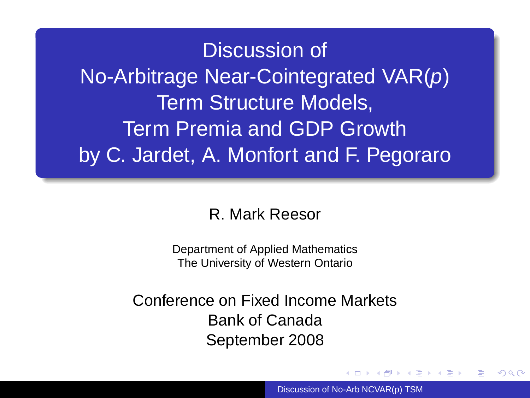Discussion of No-Arbitrage Near-Cointegrated VAR(p) Term Structure Models, Term Premia and GDP Growth by C. Jardet, A. Monfort and F. Pegoraro

R. Mark Reesor

Department of Applied Mathematics The University of Western Ontario

Conference on Fixed Income Markets Bank of Canada September 2008

Discussion of No-Arb NCVAR(p) TSM

 $\langle \langle \langle \langle \langle \rangle \rangle \rangle \rangle$  and  $\langle \langle \rangle \rangle$  and  $\langle \rangle$  and  $\langle \rangle$ 

つへへ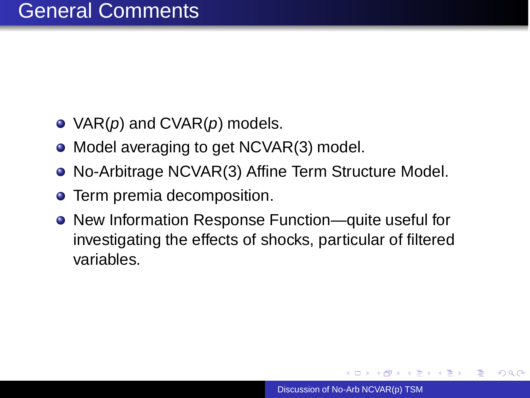- VAR( $p$ ) and CVAR( $p$ ) models.
- Model averaging to get NCVAR(3) model.
- No-Arbitrage NCVAR(3) Affine Term Structure Model.
- **•** Term premia decomposition.
- New Information Response Function—quite useful for investigating the effects of shocks, particular of filtered variables.

4 重 8

→ 走下

 $2Q$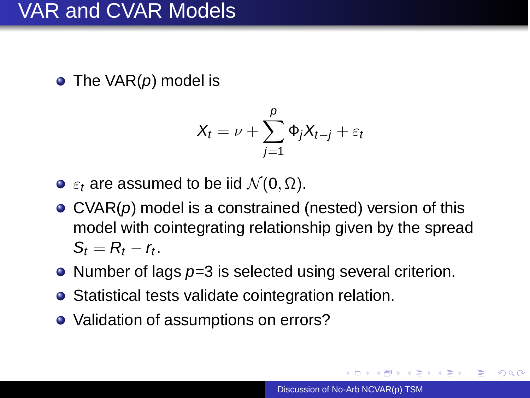#### VAR and CVAR Models

 $\bullet$  The VAR( $p$ ) model is

$$
X_t = \nu + \sum_{j=1}^p \Phi_j X_{t-j} + \varepsilon_t
$$

- $\bullet$   $\varepsilon_t$  are assumed to be iid  $\mathcal{N}(0, \Omega)$ .
- $\bullet$  CVAR( $p$ ) model is a constrained (nested) version of this model with cointegrating relationship given by the spread  $S_t = R_t - r_t.$
- Number of lags  $p=3$  is selected using several criterion.
- Statistical tests validate cointegration relation.
- Validation of assumptions on errors?

**K 何 ▶ ス ヨ ▶** 

つへへ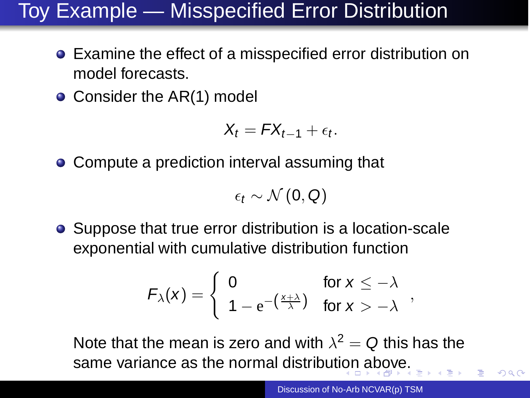# Toy Example — Misspecified Error Distribution

- Examine the effect of a misspecified error distribution on model forecasts.
- Consider the AR(1) model

$$
X_t = FX_{t-1} + \epsilon_t.
$$

• Compute a prediction interval assuming that

$$
\epsilon_{t} \sim \mathcal{N}\left(0,\,Q\right)
$$

• Suppose that true error distribution is a location-scale exponential with cumulative distribution function

$$
F_{\lambda}(x) = \begin{cases} 0 & \text{for } x \leq -\lambda \\ 1 - e^{-\left(\frac{x+\lambda}{\lambda}\right)} & \text{for } x > -\lambda \end{cases}
$$

Note that the mean is zero and with  $\lambda^2 = Q$  this has the same variance as the normal distribution above.

Discussion of No-Arb NCVAR(p) TSM

 $290$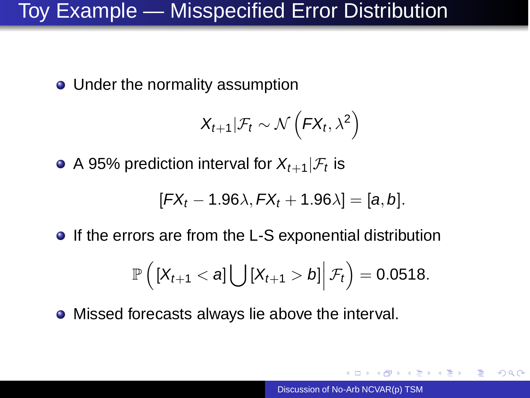# Toy Example — Misspecified Error Distribution

• Under the normality assumption

$$
X_{t+1}|\mathcal{F}_t \sim \mathcal{N}\left(FX_t, \lambda^2\right)
$$

A 95% prediction interval for  $\mathsf{X}_{t+1}|\mathcal{F}_{t}$  is

$$
[FX_t-1.96\lambda, FX_t+1.96\lambda]=[a,b].
$$

● If the errors are from the L-S exponential distribution

$$
\mathbb{P}\left(\left[X_{t+1} < a\right] \bigcup \left[X_{t+1} > b\right] \middle| \mathcal{F}_t\right) = 0.0518.
$$

Missed forecasts always lie above the interval.

 $\triangleright$  4  $\mathbb{B}$   $\triangleright$  .

 $QQ$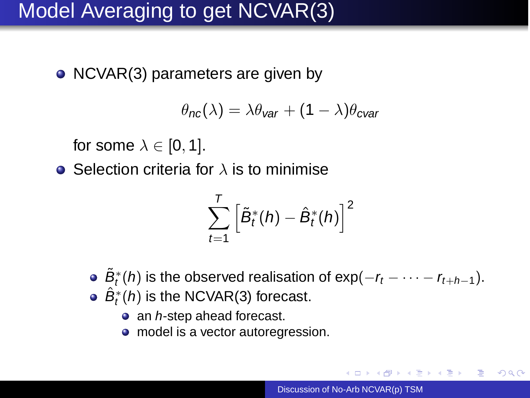# Model Averaging to get NCVAR(3)

 $\bullet$  NCVAR(3) parameters are given by

$$
\theta_{nc}(\lambda) = \lambda \theta_{var} + (1 - \lambda) \theta_{cvar}
$$

for some  $\lambda \in [0,1]$ .

• Selection criteria for  $\lambda$  is to minimise

$$
\sum_{t=1}^T \left[ \tilde{B}_t^*(h) - \hat{B}_t^*(h) \right]^2
$$

- $\tilde{B}^*_t(h)$  is the observed realisation of  $\exp(-r_t-\cdots-r_{t+h-1}).$
- $\hat{B}_{t}^{*}(h)$  is the NCVAR(3) forecast.
	- $\bullet$  an *h*-step ahead forecast.
	- model is a vector autoregression.

イロメ イ押メ イヨメ イヨメー

B

 $QQ$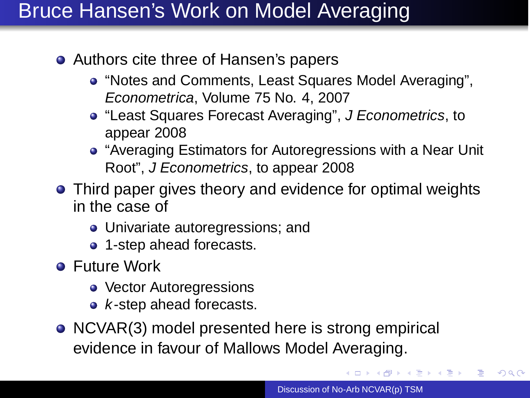## Bruce Hansen's Work on Model Averaging

- Authors cite three of Hansen's papers
	- "Notes and Comments, Least Squares Model Averaging", Econometrica, Volume 75 No. 4, 2007
	- **.** "Least Squares Forecast Averaging", J Econometrics, to appear 2008
	- "Averaging Estimators for Autoregressions with a Near Unit Root", J Econometrics, to appear 2008
- Third paper gives theory and evidence for optimal weights in the case of
	- Univariate autoregressions; and
	- 1-step ahead forecasts.
- **•** Future Work
	- Vector Autoregressions
	- $\bullet$  *k*-step ahead forecasts.
- NCVAR(3) model presented here is strong empirical evidence in favour of Mallows Model Averaging.

重き イ島 約

 $2Q$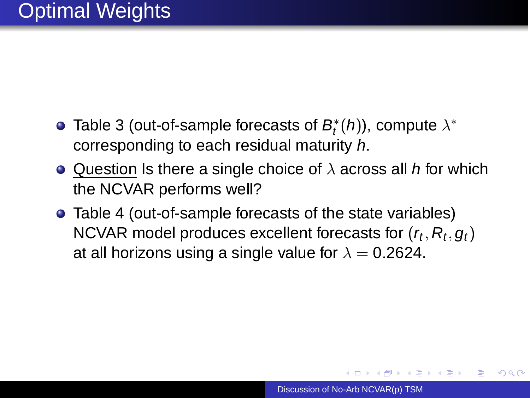- Table 3 (out-of-sample forecasts of  $B_t^*$  $(t<sub>t</sub><sup>*</sup>(h))$ , compute  $\lambda^*$ corresponding to each residual maturity h.
- Question Is there a single choice of  $\lambda$  across all h for which the NCVAR performs well?
- Table 4 (out-of-sample forecasts of the state variables) NCVAR model produces excellent forecasts for  $(r_t, R_t, g_t)$ at all horizons using a single value for  $\lambda = 0.2624$ .

つへへ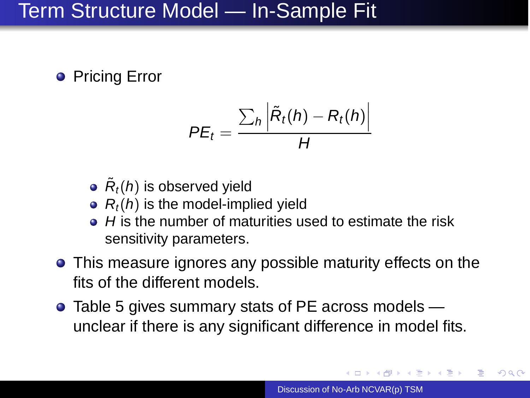### Term Structure Model — In-Sample Fit

**•** Pricing Error

$$
PE_t = \frac{\sum_h \left| \tilde{R}_t(h) - R_t(h) \right|}{H}
$$

- $\tilde{R}_{t}(h)$  is observed yield
- $R_t(h)$  is the model-implied yield
- $\bullet$  H is the number of maturities used to estimate the risk sensitivity parameters.
- This measure ignores any possible maturity effects on the fits of the different models.
- Table 5 gives summary stats of PE across models unclear if there is any significant difference in model fits.

 $\overline{AB}$  )  $\overline{AB}$  )  $\overline{AB}$  )

 $QQ$